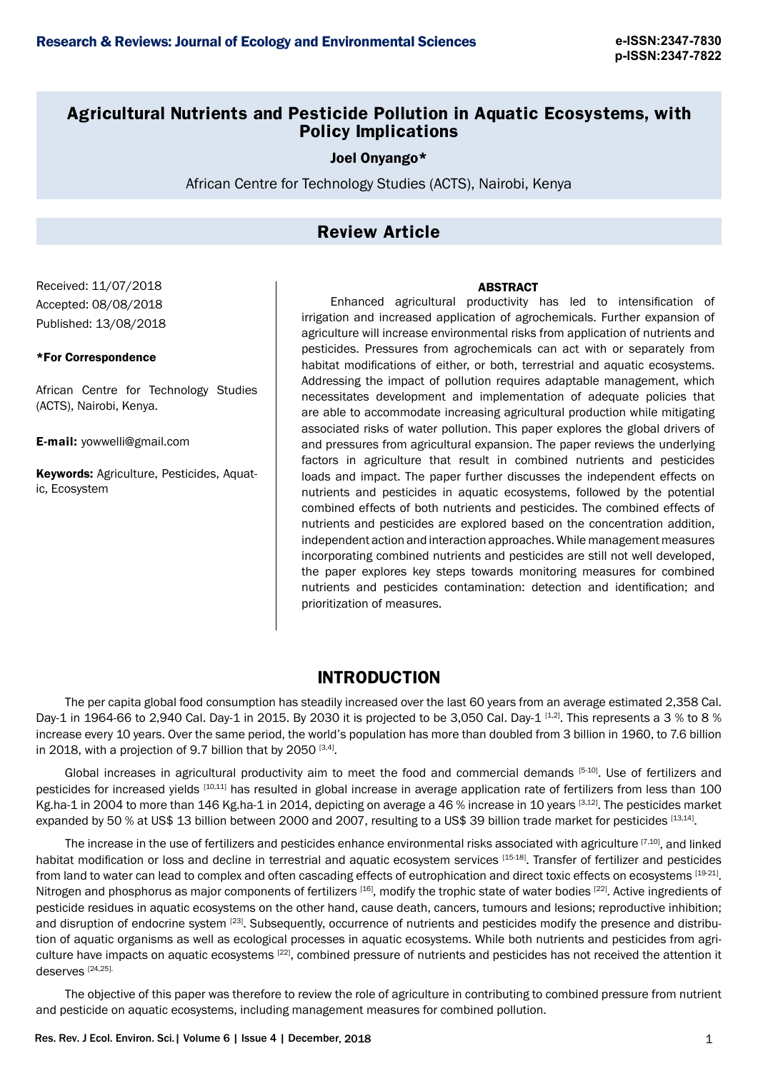## **Agricultural Nutrients and Pesticide Pollution in Aquatic Ecosystems, with Policy Implications**

Joel Onyango\*

African Centre for Technology Studies (ACTS), Nairobi, Kenya

# **Review Article**

Received: 11/07/2018 Accepted: 08/08/2018 Published: 13/08/2018

### \*For Correspondence

African Centre for Technology Studies (ACTS), Nairobi, Kenya.

E-mail: yowwelli@gmail.com

Keywords: Agriculture, Pesticides, Aquatic, Ecosystem

Enhanced agricultural productivity has led to intensification of irrigation and increased application of agrochemicals. Further expansion of agriculture will increase environmental risks from application of nutrients and pesticides. Pressures from agrochemicals can act with or separately from habitat modifications of either, or both, terrestrial and aquatic ecosystems. Addressing the impact of pollution requires adaptable management, which necessitates development and implementation of adequate policies that are able to accommodate increasing agricultural production while mitigating associated risks of water pollution. This paper explores the global drivers of and pressures from agricultural expansion. The paper reviews the underlying factors in agriculture that result in combined nutrients and pesticides loads and impact. The paper further discusses the independent effects on nutrients and pesticides in aquatic ecosystems, followed by the potential combined effects of both nutrients and pesticides. The combined effects of nutrients and pesticides are explored based on the concentration addition, independent action and interaction approaches. While management measures incorporating combined nutrients and pesticides are still not well developed, the paper explores key steps towards monitoring measures for combined nutrients and pesticides contamination: detection and identification; and prioritization of measures.

## **INTRODUCTION**

The per capita global food consumption has steadily increased over the last 60 years from an average estimated 2,358 Cal. Day-1 in 1964-66 to 2,940 Cal. Day-1 in 2015. By 2030 it is projected to be 3,050 Cal. Day-1 [1,2]. This represents a 3 % to 8 % increase every 10 years. Over the same period, the world's population has more than doubled from 3 billion in 1960, to 7.6 billion in 2018, with a projection of 9.7 billion that by 2050  $[3,4]$ .

Global increases in agricultural productivity aim to meet the food and commercial demands  $[5-10]$ . Use of fertilizers and pesticides for increased yields [10,11] has resulted in global increase in average application rate of fertilizers from less than 100 Kg.ha-1 in 2004 to more than 146 Kg.ha-1 in 2014, depicting on average a 46 % increase in 10 years [3,12]. The pesticides market expanded by 50 % at US\$ 13 billion between 2000 and 2007, resulting to a US\$ 39 billion trade market for pesticides [13,14].

The increase in the use of fertilizers and pesticides enhance environmental risks associated with agriculture [7,10], and linked habitat modification or loss and decline in terrestrial and aquatic ecosystem services [15-18]. Transfer of fertilizer and pesticides from land to water can lead to complex and often cascading effects of eutrophication and direct toxic effects on ecosystems [19-21]. Nitrogen and phosphorus as major components of fertilizers [16], modify the trophic state of water bodies [22]. Active ingredients of pesticide residues in aquatic ecosystems on the other hand, cause death, cancers, tumours and lesions; reproductive inhibition; and disruption of endocrine system <sup>[23]</sup>. Subsequently, occurrence of nutrients and pesticides modify the presence and distribution of aquatic organisms as well as ecological processes in aquatic ecosystems. While both nutrients and pesticides from agriculture have impacts on aquatic ecosystems [22], combined pressure of nutrients and pesticides has not received the attention it deserves [24,25].

The objective of this paper was therefore to review the role of agriculture in contributing to combined pressure from nutrient and pesticide on aquatic ecosystems, including management measures for combined pollution.

# ABSTRACT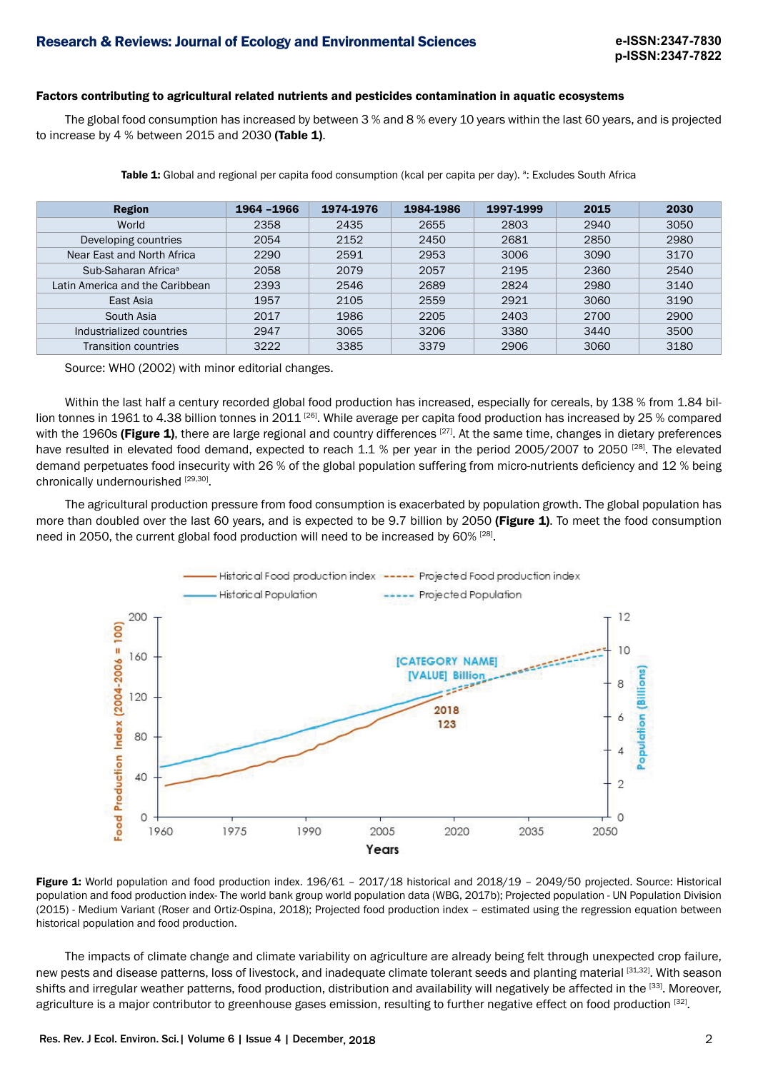#### Factors contributing to agricultural related nutrients and pesticides contamination in aquatic ecosystems

The global food consumption has increased by between 3 % and 8 % every 10 years within the last 60 years, and is projected to increase by 4 % between 2015 and 2030 (Table 1).

| <b>Region</b>                   | 1964 -1966 | 1974-1976 | 1984-1986 | 1997-1999 | 2015 | 2030 |
|---------------------------------|------------|-----------|-----------|-----------|------|------|
| World                           | 2358       | 2435      | 2655      | 2803      | 2940 | 3050 |
| Developing countries            | 2054       | 2152      | 2450      | 2681      | 2850 | 2980 |
| Near East and North Africa      | 2290       | 2591      | 2953      | 3006      | 3090 | 3170 |
| Sub-Saharan Africa <sup>a</sup> | 2058       | 2079      | 2057      | 2195      | 2360 | 2540 |
| Latin America and the Caribbean | 2393       | 2546      | 2689      | 2824      | 2980 | 3140 |
| East Asia                       | 1957       | 2105      | 2559      | 2921      | 3060 | 3190 |
| South Asia                      | 2017       | 1986      | 2205      | 2403      | 2700 | 2900 |
| Industrialized countries        | 2947       | 3065      | 3206      | 3380      | 3440 | 3500 |
| <b>Transition countries</b>     | 3222       | 3385      | 3379      | 2906      | 3060 | 3180 |

**Table 1:** Global and regional per capita food consumption (kcal per capita per day). <sup>a</sup>: Excludes South Africa

Source: WHO (2002) with minor editorial changes.

Within the last half a century recorded global food production has increased, especially for cereals, by 138 % from 1.84 billion tonnes in 1961 to 4.38 billion tonnes in 2011 [26]. While average per capita food production has increased by 25 % compared with the 1960s (Figure 1), there are large regional and country differences [27]. At the same time, changes in dietary preferences have resulted in elevated food demand, expected to reach 1.1 % per year in the period 2005/2007 to 2050 <sup>[28]</sup>. The elevated demand perpetuates food insecurity with 26 % of the global population suffering from micro-nutrients deficiency and 12 % being chronically undernourished [29,30].

The agricultural production pressure from food consumption is exacerbated by population growth. The global population has more than doubled over the last 60 years, and is expected to be 9.7 billion by 2050 (Figure 1). To meet the food consumption need in 2050, the current global food production will need to be increased by 60%  $^{[28]}$ .



Figure 1: World population and food production index. 196/61 - 2017/18 historical and 2018/19 - 2049/50 projected. Source: Historical population and food production index- The world bank group world population data (WBG, 2017b); Projected population - UN Population Division (2015) - Medium Variant (Roser and Ortiz-Ospina, 2018); Projected food production index – estimated using the regression equation between historical population and food production.

The impacts of climate change and climate variability on agriculture are already being felt through unexpected crop failure, new pests and disease patterns, loss of livestock, and inadequate climate tolerant seeds and planting material [31,32]. With season shifts and irregular weather patterns, food production, distribution and availability will negatively be affected in the [33]. Moreover, agriculture is a major contributor to greenhouse gases emission, resulting to further negative effect on food production [32].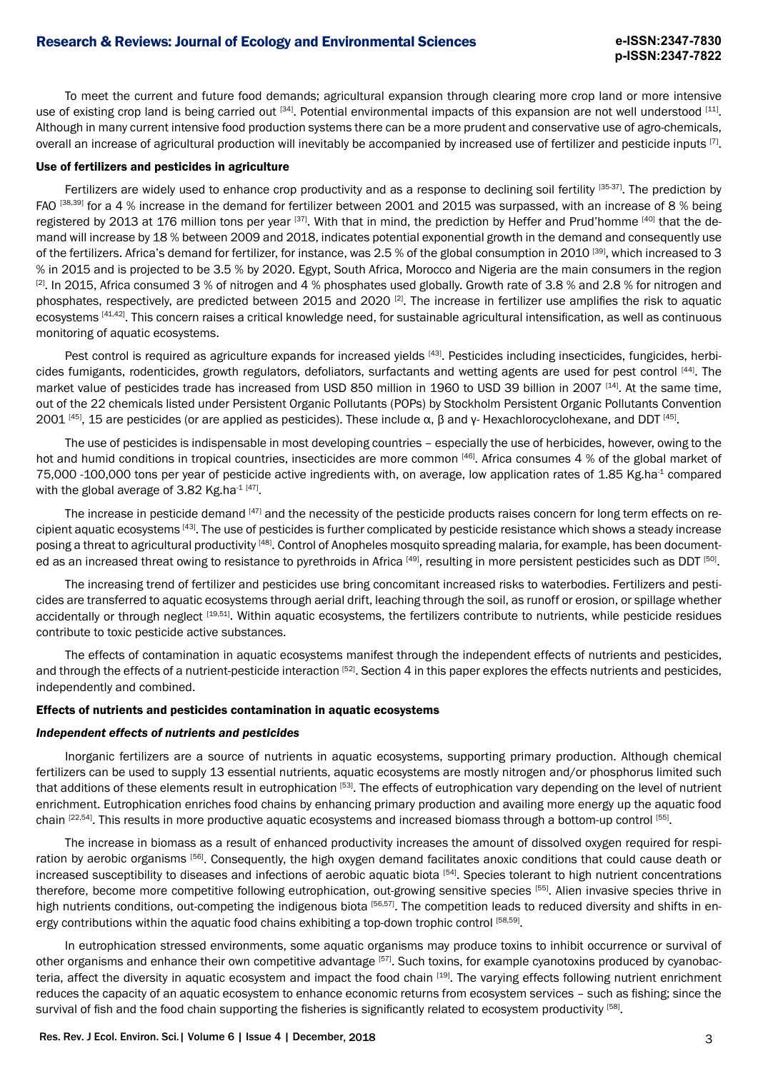To meet the current and future food demands; agricultural expansion through clearing more crop land or more intensive use of existing crop land is being carried out [34]. Potential environmental impacts of this expansion are not well understood [11]. Although in many current intensive food production systems there can be a more prudent and conservative use of agro-chemicals, overall an increase of agricultural production will inevitably be accompanied by increased use of fertilizer and pesticide inputs [7].

#### Use of fertilizers and pesticides in agriculture

Fertilizers are widely used to enhance crop productivity and as a response to declining soil fertility [35-37]. The prediction by FAO [38,39] for a 4 % increase in the demand for fertilizer between 2001 and 2015 was surpassed, with an increase of 8 % being registered by 2013 at 176 million tons per year [37]. With that in mind, the prediction by Heffer and Prud'homme [40] that the demand will increase by 18 % between 2009 and 2018, indicates potential exponential growth in the demand and consequently use of the fertilizers. Africa's demand for fertilizer, for instance, was 2.5 % of the global consumption in 2010 [39], which increased to 3 % in 2015 and is projected to be 3.5 % by 2020. Egypt, South Africa, Morocco and Nigeria are the main consumers in the region  $[2]$ . In 2015, Africa consumed 3 % of nitrogen and 4 % phosphates used globally. Growth rate of 3.8 % and 2.8 % for nitrogen and phosphates, respectively, are predicted between 2015 and 2020 [2]. The increase in fertilizer use amplifies the risk to aquatic ecosystems [41,42]. This concern raises a critical knowledge need, for sustainable agricultural intensification, as well as continuous monitoring of aquatic ecosystems.

Pest control is required as agriculture expands for increased yields [43]. Pesticides including insecticides, fungicides, herbicides fumigants, rodenticides, growth regulators, defoliators, surfactants and wetting agents are used for pest control [44]. The market value of pesticides trade has increased from USD 850 million in 1960 to USD 39 billion in 2007 [14]. At the same time, out of the 22 chemicals listed under Persistent Organic Pollutants (POPs) by Stockholm Persistent Organic Pollutants Convention 2001 [45], 15 are pesticides (or are applied as pesticides). These include α, β and γ- Hexachlorocyclohexane, and DDT [45].

The use of pesticides is indispensable in most developing countries – especially the use of herbicides, however, owing to the hot and humid conditions in tropical countries, insecticides are more common [46]. Africa consumes 4 % of the global market of 75,000 -100,000 tons per year of pesticide active ingredients with, on average, low application rates of 1.85 Kg.ha-1 compared with the global average of 3.82 Kg.ha-1 [47].

The increase in pesticide demand [47] and the necessity of the pesticide products raises concern for long term effects on recipient aquatic ecosystems [43]. The use of pesticides is further complicated by pesticide resistance which shows a steady increase posing a threat to agricultural productivity [48]. Control of Anopheles mosquito spreading malaria, for example, has been documented as an increased threat owing to resistance to pyrethroids in Africa [49], resulting in more persistent pesticides such as DDT [50].

The increasing trend of fertilizer and pesticides use bring concomitant increased risks to waterbodies. Fertilizers and pesticides are transferred to aquatic ecosystems through aerial drift, leaching through the soil, as runoff or erosion, or spillage whether accidentally or through neglect [19,51]. Within aquatic ecosystems, the fertilizers contribute to nutrients, while pesticide residues contribute to toxic pesticide active substances.

The effects of contamination in aquatic ecosystems manifest through the independent effects of nutrients and pesticides, and through the effects of a nutrient-pesticide interaction [52]. Section 4 in this paper explores the effects nutrients and pesticides, independently and combined.

#### Effects of nutrients and pesticides contamination in aquatic ecosystems

### *Independent effects of nutrients and pesticides*

Inorganic fertilizers are a source of nutrients in aquatic ecosystems, supporting primary production. Although chemical fertilizers can be used to supply 13 essential nutrients, aquatic ecosystems are mostly nitrogen and/or phosphorus limited such that additions of these elements result in eutrophication [53]. The effects of eutrophication vary depending on the level of nutrient enrichment. Eutrophication enriches food chains by enhancing primary production and availing more energy up the aquatic food chain [22,54]. This results in more productive aquatic ecosystems and increased biomass through a bottom-up control [55].

The increase in biomass as a result of enhanced productivity increases the amount of dissolved oxygen required for respiration by aerobic organisms [56]. Consequently, the high oxygen demand facilitates anoxic conditions that could cause death or increased susceptibility to diseases and infections of aerobic aquatic biota [54]. Species tolerant to high nutrient concentrations therefore, become more competitive following eutrophication, out-growing sensitive species [55]. Alien invasive species thrive in high nutrients conditions, out-competing the indigenous biota [56,57]. The competition leads to reduced diversity and shifts in energy contributions within the aquatic food chains exhibiting a top-down trophic control [58,59].

In eutrophication stressed environments, some aquatic organisms may produce toxins to inhibit occurrence or survival of other organisms and enhance their own competitive advantage [57]. Such toxins, for example cyanotoxins produced by cyanobacteria, affect the diversity in aquatic ecosystem and impact the food chain [19]. The varying effects following nutrient enrichment reduces the capacity of an aquatic ecosystem to enhance economic returns from ecosystem services – such as fishing; since the survival of fish and the food chain supporting the fisheries is significantly related to ecosystem productivity [58].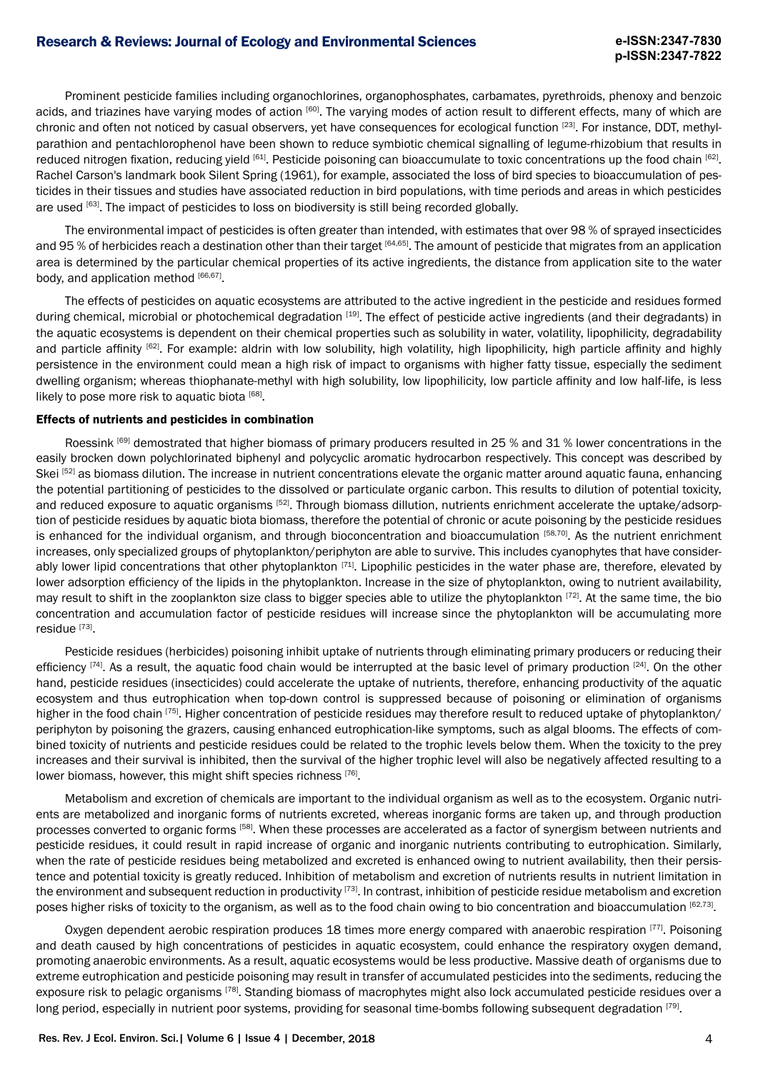Prominent pesticide families including organochlorines, organophosphates, carbamates, pyrethroids, phenoxy and benzoic acids, and triazines have varying modes of action [60]. The varying modes of action result to different effects, many of which are chronic and often not noticed by casual observers, yet have consequences for ecological function <sup>[23]</sup>. For instance, DDT, methylparathion and pentachlorophenol have been shown to reduce symbiotic chemical signalling of legume-rhizobium that results in reduced nitrogen fixation, reducing yield [61]. Pesticide poisoning can bioaccumulate to toxic concentrations up the food chain [62]. Rachel Carson's landmark book Silent Spring (1961), for example, associated the loss of bird species to bioaccumulation of pesticides in their tissues and studies have associated reduction in bird populations, with time periods and areas in which pesticides are used [63]. The impact of pesticides to loss on biodiversity is still being recorded globally.

The environmental impact of pesticides is often greater than intended, with estimates that over 98 % of sprayed insecticides and 95 % of herbicides reach a destination other than their target  $[64,65]$ . The amount of pesticide that migrates from an application area is determined by the particular chemical properties of its active ingredients, the distance from application site to the water body, and application method [66,67].

The effects of pesticides on aquatic ecosystems are attributed to the active ingredient in the pesticide and residues formed during chemical, microbial or photochemical degradation [19]. The effect of pesticide active ingredients (and their degradants) in the aquatic ecosystems is dependent on their chemical properties such as solubility in water, volatility, lipophilicity, degradability and particle affinity  $[62]$ . For example: aldrin with low solubility, high volatility, high lipophilicity, high particle affinity and highly persistence in the environment could mean a high risk of impact to organisms with higher fatty tissue, especially the sediment dwelling organism; whereas thiophanate-methyl with high solubility, low lipophilicity, low particle affinity and low half-life, is less likely to pose more risk to aquatic biota [68].

#### Effects of nutrients and pesticides in combination

Roessink [69] demostrated that higher biomass of primary producers resulted in 25 % and 31 % lower concentrations in the easily brocken down polychlorinated biphenyl and polycyclic aromatic hydrocarbon respectively. This concept was described by Skei [52] as biomass dilution. The increase in nutrient concentrations elevate the organic matter around aquatic fauna, enhancing the potential partitioning of pesticides to the dissolved or particulate organic carbon. This results to dilution of potential toxicity, and reduced exposure to aquatic organisms [52]. Through biomass dillution, nutrients enrichment accelerate the uptake/adsorption of pesticide residues by aquatic biota biomass, therefore the potential of chronic or acute poisoning by the pesticide residues is enhanced for the individual organism, and through bioconcentration and bioaccumulation [58,70]. As the nutrient enrichment increases, only specialized groups of phytoplankton/periphyton are able to survive. This includes cyanophytes that have considerably lower lipid concentrations that other phytoplankton  $[71]$ . Lipophilic pesticides in the water phase are, therefore, elevated by lower adsorption efficiency of the lipids in the phytoplankton. Increase in the size of phytoplankton, owing to nutrient availability, may result to shift in the zooplankton size class to bigger species able to utilize the phytoplankton [72]. At the same time, the bio concentration and accumulation factor of pesticide residues will increase since the phytoplankton will be accumulating more residue [73].

Pesticide residues (herbicides) poisoning inhibit uptake of nutrients through eliminating primary producers or reducing their efficiency  $[74]$ . As a result, the aquatic food chain would be interrupted at the basic level of primary production  $[24]$ . On the other hand, pesticide residues (insecticides) could accelerate the uptake of nutrients, therefore, enhancing productivity of the aquatic ecosystem and thus eutrophication when top-down control is suppressed because of poisoning or elimination of organisms higher in the food chain <sup>[75]</sup>. Higher concentration of pesticide residues may therefore result to reduced uptake of phytoplankton/ periphyton by poisoning the grazers, causing enhanced eutrophication-like symptoms, such as algal blooms. The effects of combined toxicity of nutrients and pesticide residues could be related to the trophic levels below them. When the toxicity to the prey increases and their survival is inhibited, then the survival of the higher trophic level will also be negatively affected resulting to a lower biomass, however, this might shift species richness [76].

Metabolism and excretion of chemicals are important to the individual organism as well as to the ecosystem. Organic nutrients are metabolized and inorganic forms of nutrients excreted, whereas inorganic forms are taken up, and through production processes converted to organic forms [58]. When these processes are accelerated as a factor of synergism between nutrients and pesticide residues, it could result in rapid increase of organic and inorganic nutrients contributing to eutrophication. Similarly, when the rate of pesticide residues being metabolized and excreted is enhanced owing to nutrient availability, then their persistence and potential toxicity is greatly reduced. Inhibition of metabolism and excretion of nutrients results in nutrient limitation in the environment and subsequent reduction in productivity <sup>[73]</sup>. In contrast, inhibition of pesticide residue metabolism and excretion poses higher risks of toxicity to the organism, as well as to the food chain owing to bio concentration and bioaccumulation [62,73].

Oxygen dependent aerobic respiration produces 18 times more energy compared with anaerobic respiration [77]. Poisoning and death caused by high concentrations of pesticides in aquatic ecosystem, could enhance the respiratory oxygen demand, promoting anaerobic environments. As a result, aquatic ecosystems would be less productive. Massive death of organisms due to extreme eutrophication and pesticide poisoning may result in transfer of accumulated pesticides into the sediments, reducing the exposure risk to pelagic organisms <sup>[78]</sup>. Standing biomass of macrophytes might also lock accumulated pesticide residues over a long period, especially in nutrient poor systems, providing for seasonal time-bombs following subsequent degradation [79].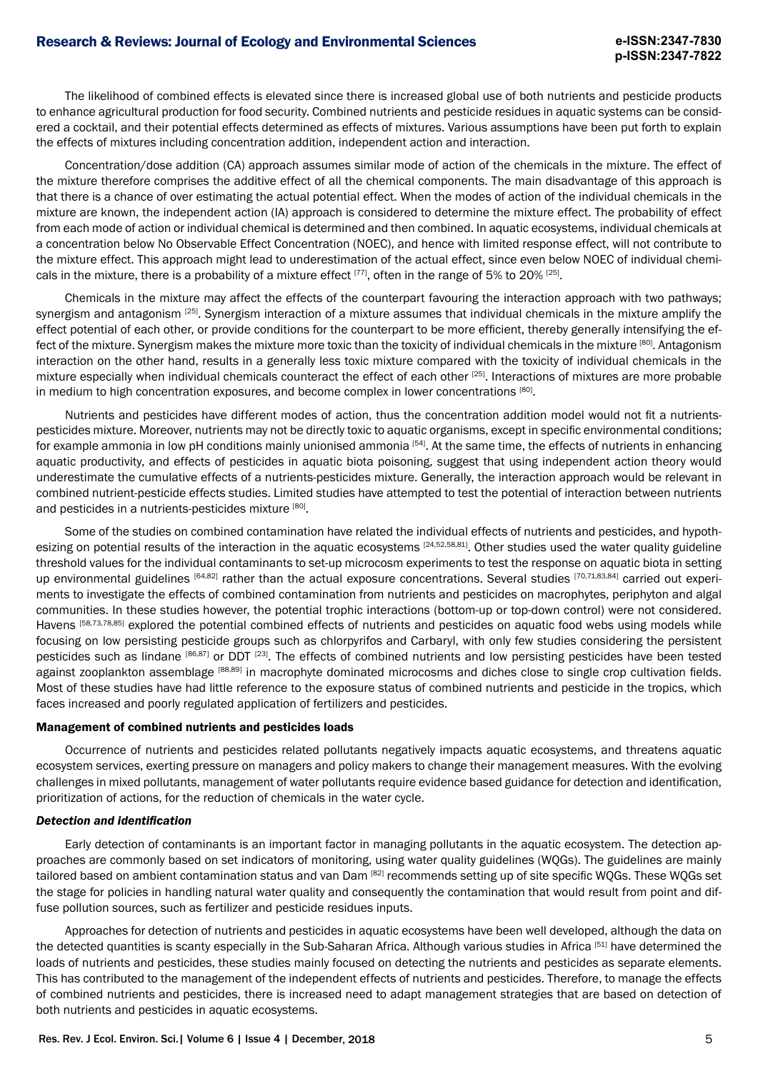The likelihood of combined effects is elevated since there is increased global use of both nutrients and pesticide products to enhance agricultural production for food security. Combined nutrients and pesticide residues in aquatic systems can be considered a cocktail, and their potential effects determined as effects of mixtures. Various assumptions have been put forth to explain the effects of mixtures including concentration addition, independent action and interaction.

Concentration/dose addition (CA) approach assumes similar mode of action of the chemicals in the mixture. The effect of the mixture therefore comprises the additive effect of all the chemical components. The main disadvantage of this approach is that there is a chance of over estimating the actual potential effect. When the modes of action of the individual chemicals in the mixture are known, the independent action (IA) approach is considered to determine the mixture effect. The probability of effect from each mode of action or individual chemical is determined and then combined. In aquatic ecosystems, individual chemicals at a concentration below No Observable Effect Concentration (NOEC), and hence with limited response effect, will not contribute to the mixture effect. This approach might lead to underestimation of the actual effect, since even below NOEC of individual chemicals in the mixture, there is a probability of a mixture effect  $[77]$ , often in the range of 5% to 20%  $[25]$ .

Chemicals in the mixture may affect the effects of the counterpart favouring the interaction approach with two pathways; synergism and antagonism <sup>[25]</sup>. Synergism interaction of a mixture assumes that individual chemicals in the mixture amplify the effect potential of each other, or provide conditions for the counterpart to be more efficient, thereby generally intensifying the effect of the mixture. Synergism makes the mixture more toxic than the toxicity of individual chemicals in the mixture [80]. Antagonism interaction on the other hand, results in a generally less toxic mixture compared with the toxicity of individual chemicals in the mixture especially when individual chemicals counteract the effect of each other [25]. Interactions of mixtures are more probable in medium to high concentration exposures, and become complex in lower concentrations [80].

Nutrients and pesticides have different modes of action, thus the concentration addition model would not fit a nutrientspesticides mixture. Moreover, nutrients may not be directly toxic to aquatic organisms, except in specific environmental conditions; for example ammonia in low pH conditions mainly unionised ammonia  $[54]$ . At the same time, the effects of nutrients in enhancing aquatic productivity, and effects of pesticides in aquatic biota poisoning, suggest that using independent action theory would underestimate the cumulative effects of a nutrients-pesticides mixture. Generally, the interaction approach would be relevant in combined nutrient-pesticide effects studies. Limited studies have attempted to test the potential of interaction between nutrients and pesticides in a nutrients-pesticides mixture [80].

Some of the studies on combined contamination have related the individual effects of nutrients and pesticides, and hypothesizing on potential results of the interaction in the aquatic ecosystems [24,52,58,81]. Other studies used the water quality guideline threshold values for the individual contaminants to set-up microcosm experiments to test the response on aquatic biota in setting up environmental guidelines  $[64,82]$  rather than the actual exposure concentrations. Several studies  $[70,71,83,84]$  carried out experiments to investigate the effects of combined contamination from nutrients and pesticides on macrophytes, periphyton and algal communities. In these studies however, the potential trophic interactions (bottom-up or top-down control) were not considered. Havens [58,73,78,85] explored the potential combined effects of nutrients and pesticides on aquatic food webs using models while focusing on low persisting pesticide groups such as chlorpyrifos and Carbaryl, with only few studies considering the persistent pesticides such as lindane [86,87] or DDT [23]. The effects of combined nutrients and low persisting pesticides have been tested against zooplankton assemblage [88,89] in macrophyte dominated microcosms and diches close to single crop cultivation fields. Most of these studies have had little reference to the exposure status of combined nutrients and pesticide in the tropics, which faces increased and poorly regulated application of fertilizers and pesticides.

#### Management of combined nutrients and pesticides loads

Occurrence of nutrients and pesticides related pollutants negatively impacts aquatic ecosystems, and threatens aquatic ecosystem services, exerting pressure on managers and policy makers to change their management measures. With the evolving challenges in mixed pollutants, management of water pollutants require evidence based guidance for detection and identification, prioritization of actions, for the reduction of chemicals in the water cycle.

#### *Detection and identification*

Early detection of contaminants is an important factor in managing pollutants in the aquatic ecosystem. The detection approaches are commonly based on set indicators of monitoring, using water quality guidelines (WQGs). The guidelines are mainly tailored based on ambient contamination status and van Dam [82] recommends setting up of site specific WQGs. These WQGs set the stage for policies in handling natural water quality and consequently the contamination that would result from point and diffuse pollution sources, such as fertilizer and pesticide residues inputs.

Approaches for detection of nutrients and pesticides in aquatic ecosystems have been well developed, although the data on the detected quantities is scanty especially in the Sub-Saharan Africa. Although various studies in Africa [51] have determined the loads of nutrients and pesticides, these studies mainly focused on detecting the nutrients and pesticides as separate elements. This has contributed to the management of the independent effects of nutrients and pesticides. Therefore, to manage the effects of combined nutrients and pesticides, there is increased need to adapt management strategies that are based on detection of both nutrients and pesticides in aquatic ecosystems.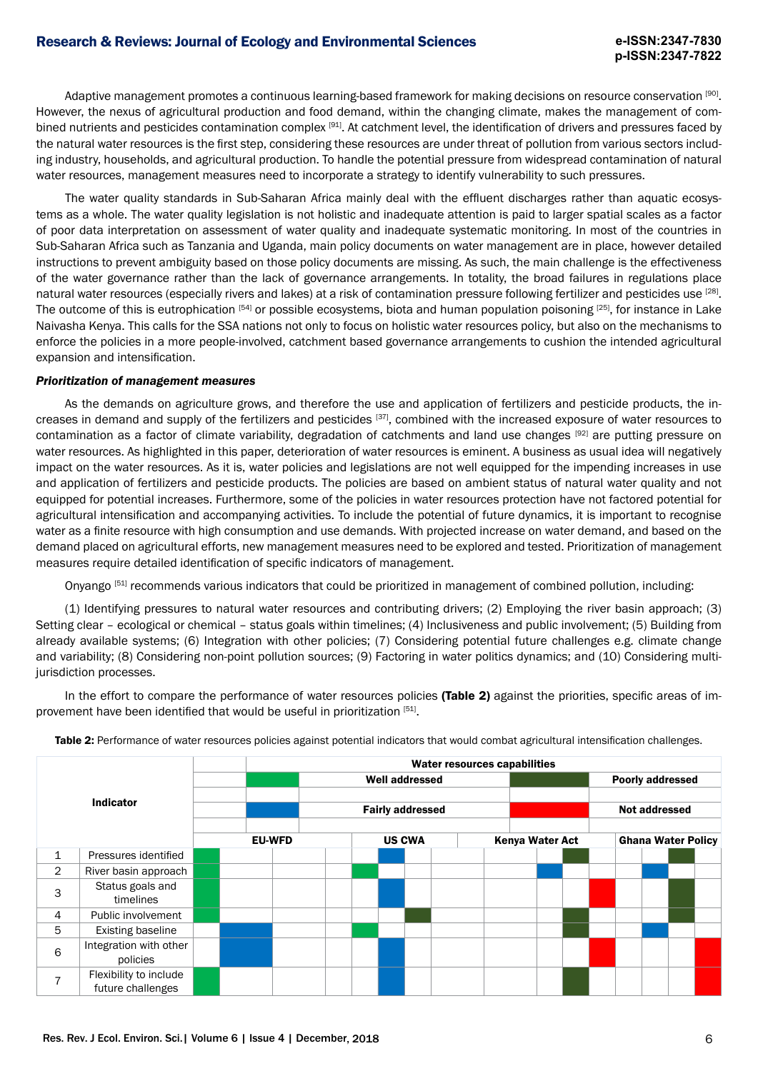Adaptive management promotes a continuous learning-based framework for making decisions on resource conservation [90]. However, the nexus of agricultural production and food demand, within the changing climate, makes the management of combined nutrients and pesticides contamination complex [91]. At catchment level, the identification of drivers and pressures faced by the natural water resources is the first step, considering these resources are under threat of pollution from various sectors including industry, households, and agricultural production. To handle the potential pressure from widespread contamination of natural water resources, management measures need to incorporate a strategy to identify vulnerability to such pressures.

The water quality standards in Sub-Saharan Africa mainly deal with the effluent discharges rather than aquatic ecosystems as a whole. The water quality legislation is not holistic and inadequate attention is paid to larger spatial scales as a factor of poor data interpretation on assessment of water quality and inadequate systematic monitoring. In most of the countries in Sub-Saharan Africa such as Tanzania and Uganda, main policy documents on water management are in place, however detailed instructions to prevent ambiguity based on those policy documents are missing. As such, the main challenge is the effectiveness of the water governance rather than the lack of governance arrangements. In totality, the broad failures in regulations place natural water resources (especially rivers and lakes) at a risk of contamination pressure following fertilizer and pesticides use [28]. The outcome of this is eutrophication [54] or possible ecosystems, biota and human population poisoning [25], for instance in Lake Naivasha Kenya. This calls for the SSA nations not only to focus on holistic water resources policy, but also on the mechanisms to enforce the policies in a more people-involved, catchment based governance arrangements to cushion the intended agricultural expansion and intensification.

#### *Prioritization of management measures*

As the demands on agriculture grows, and therefore the use and application of fertilizers and pesticide products, the increases in demand and supply of the fertilizers and pesticides [37], combined with the increased exposure of water resources to contamination as a factor of climate variability, degradation of catchments and land use changes [92] are putting pressure on water resources. As highlighted in this paper, deterioration of water resources is eminent. A business as usual idea will negatively impact on the water resources. As it is, water policies and legislations are not well equipped for the impending increases in use and application of fertilizers and pesticide products. The policies are based on ambient status of natural water quality and not equipped for potential increases. Furthermore, some of the policies in water resources protection have not factored potential for agricultural intensification and accompanying activities. To include the potential of future dynamics, it is important to recognise water as a finite resource with high consumption and use demands. With projected increase on water demand, and based on the demand placed on agricultural efforts, new management measures need to be explored and tested. Prioritization of management measures require detailed identification of specific indicators of management.

Onyango [51] recommends various indicators that could be prioritized in management of combined pollution, including:

(1) Identifying pressures to natural water resources and contributing drivers; (2) Employing the river basin approach; (3) Setting clear – ecological or chemical – status goals within timelines; (4) Inclusiveness and public involvement; (5) Building from already available systems; (6) Integration with other policies; (7) Considering potential future challenges e.g. climate change and variability; (8) Considering non-point pollution sources; (9) Factoring in water politics dynamics; and (10) Considering multijurisdiction processes.

In the effort to compare the performance of water resources policies (Table 2) against the priorities, specific areas of improvement have been identified that would be useful in prioritization [51].

| <b>Indicator</b> |                                             | Water resources capabilities |  |               |                         |                       |  |  |                 |  |  |  |                  |                           |  |  |
|------------------|---------------------------------------------|------------------------------|--|---------------|-------------------------|-----------------------|--|--|-----------------|--|--|--|------------------|---------------------------|--|--|
|                  |                                             |                              |  |               |                         | <b>Well addressed</b> |  |  |                 |  |  |  | Poorly addressed |                           |  |  |
|                  |                                             |                              |  |               | <b>Fairly addressed</b> |                       |  |  |                 |  |  |  | Not addressed    |                           |  |  |
|                  |                                             |                              |  | <b>EU-WFD</b> |                         | <b>US CWA</b>         |  |  | Kenya Water Act |  |  |  |                  | <b>Ghana Water Policy</b> |  |  |
| $\mathbf{1}$     | Pressures identified                        |                              |  |               |                         |                       |  |  |                 |  |  |  |                  |                           |  |  |
| $\overline{2}$   | River basin approach                        |                              |  |               |                         |                       |  |  |                 |  |  |  |                  |                           |  |  |
| 3                | Status goals and<br>timelines               |                              |  |               |                         |                       |  |  |                 |  |  |  |                  |                           |  |  |
| 4                | Public involvement                          |                              |  |               |                         |                       |  |  |                 |  |  |  |                  |                           |  |  |
| 5                | Existing baseline                           |                              |  |               |                         |                       |  |  |                 |  |  |  |                  |                           |  |  |
| 6                | Integration with other<br>policies          |                              |  |               |                         |                       |  |  |                 |  |  |  |                  |                           |  |  |
| $\overline{7}$   | Flexibility to include<br>future challenges |                              |  |               |                         |                       |  |  |                 |  |  |  |                  |                           |  |  |

Table 2: Performance of water resources policies against potential indicators that would combat agricultural intensification challenges.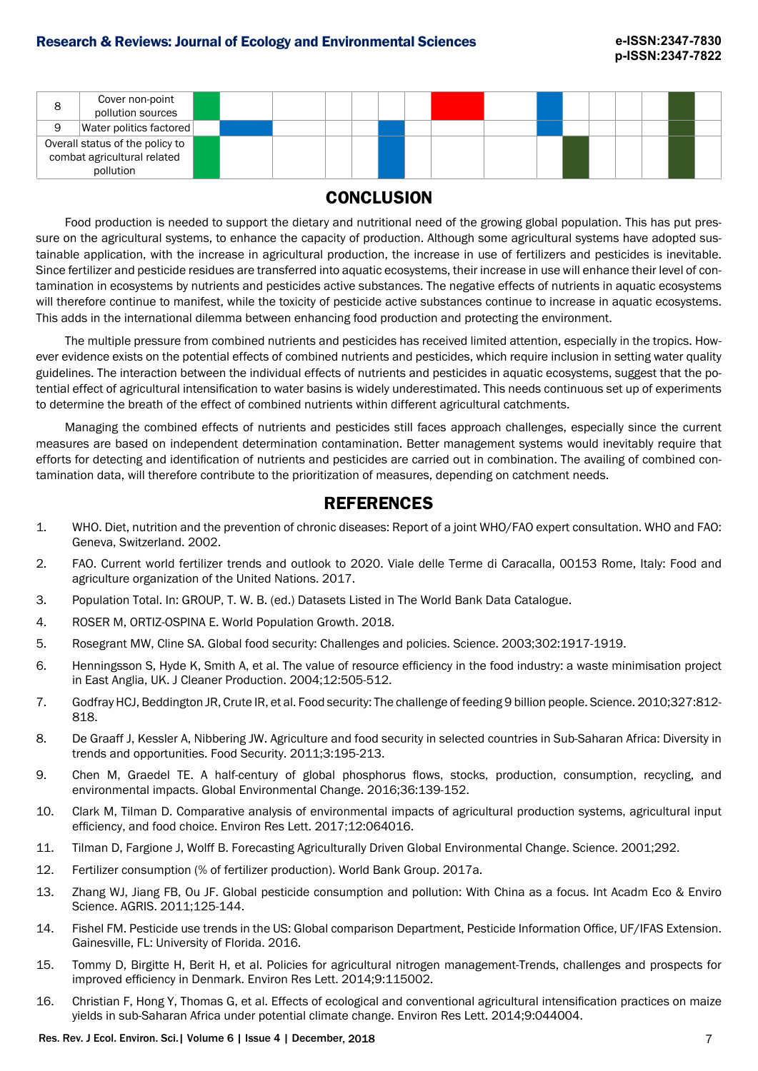| 8 | Cover non-point<br>pollution sources                                        |  |  |  |  |  |  |  |  |
|---|-----------------------------------------------------------------------------|--|--|--|--|--|--|--|--|
| 9 | Water politics factored                                                     |  |  |  |  |  |  |  |  |
|   | Overall status of the policy to<br>combat agricultural related<br>pollution |  |  |  |  |  |  |  |  |

# **CONCLUSION**

Food production is needed to support the dietary and nutritional need of the growing global population. This has put pressure on the agricultural systems, to enhance the capacity of production. Although some agricultural systems have adopted sustainable application, with the increase in agricultural production, the increase in use of fertilizers and pesticides is inevitable. Since fertilizer and pesticide residues are transferred into aquatic ecosystems, their increase in use will enhance their level of contamination in ecosystems by nutrients and pesticides active substances. The negative effects of nutrients in aquatic ecosystems will therefore continue to manifest, while the toxicity of pesticide active substances continue to increase in aquatic ecosystems. This adds in the international dilemma between enhancing food production and protecting the environment.

The multiple pressure from combined nutrients and pesticides has received limited attention, especially in the tropics. However evidence exists on the potential effects of combined nutrients and pesticides, which require inclusion in setting water quality guidelines. The interaction between the individual effects of nutrients and pesticides in aquatic ecosystems, suggest that the potential effect of agricultural intensification to water basins is widely underestimated. This needs continuous set up of experiments to determine the breath of the effect of combined nutrients within different agricultural catchments.

Managing the combined effects of nutrients and pesticides still faces approach challenges, especially since the current measures are based on independent determination contamination. Better management systems would inevitably require that efforts for detecting and identification of nutrients and pesticides are carried out in combination. The availing of combined contamination data, will therefore contribute to the prioritization of measures, depending on catchment needs.

## **REFERENCES**

- 1. WHO. Diet, nutrition and the prevention of chronic diseases: Report of a joint WHO/FAO expert consultation. WHO and FAO: Geneva, Switzerland. 2002.
- 2. FAO. Current world fertilizer trends and outlook to 2020. Viale delle Terme di Caracalla, 00153 Rome, Italy: Food and agriculture organization of the United Nations. 2017.
- 3. Population Total. In: GROUP, T. W. B. (ed.) Datasets Listed in The World Bank Data Catalogue.
- 4. ROSER M, ORTIZ-OSPINA E. World Population Growth. 2018.
- 5. Rosegrant MW, Cline SA. Global food security: Challenges and policies. Science. 2003;302:1917-1919.
- 6. Henningsson S, Hyde K, Smith A, et al. The value of resource efficiency in the food industry: a waste minimisation project in East Anglia, UK. J Cleaner Production. 2004;12:505-512.
- 7. Godfray HCJ, Beddington JR, Crute IR, et al. Food security: The challenge of feeding 9 billion people. Science. 2010;327:812- 818.
- 8. De Graaff J, Kessler A, Nibbering JW. Agriculture and food security in selected countries in Sub-Saharan Africa: Diversity in trends and opportunities. Food Security. 2011;3:195-213.
- 9. Chen M, Graedel TE. A half-century of global phosphorus flows, stocks, production, consumption, recycling, and environmental impacts. Global Environmental Change. 2016;36:139-152.
- 10. Clark M, Tilman D. Comparative analysis of environmental impacts of agricultural production systems, agricultural input efficiency, and food choice. Environ Res Lett. 2017;12:064016.
- 11. Tilman D, Fargione J, Wolff B. Forecasting Agriculturally Driven Global Environmental Change. Science. 2001;292.
- 12. Fertilizer consumption (% of fertilizer production). World Bank Group. 2017a.
- 13. Zhang WJ, Jiang FB, Ou JF. Global pesticide consumption and pollution: With China as a focus. Int Acadm Eco & Enviro Science. AGRIS. 2011;125-144.
- 14. Fishel FM. Pesticide use trends in the US: Global comparison Department, Pesticide Information Office, UF/IFAS Extension. Gainesville, FL: University of Florida. 2016.
- 15. Tommy D, Birgitte H, Berit H, et al. Policies for agricultural nitrogen management-Trends, challenges and prospects for improved efficiency in Denmark. Environ Res Lett. 2014;9:115002.
- 16. Christian F, Hong Y, Thomas G, et al. Effects of ecological and conventional agricultural intensification practices on maize yields in sub-Saharan Africa under potential climate change. Environ Res Lett. 2014;9:044004.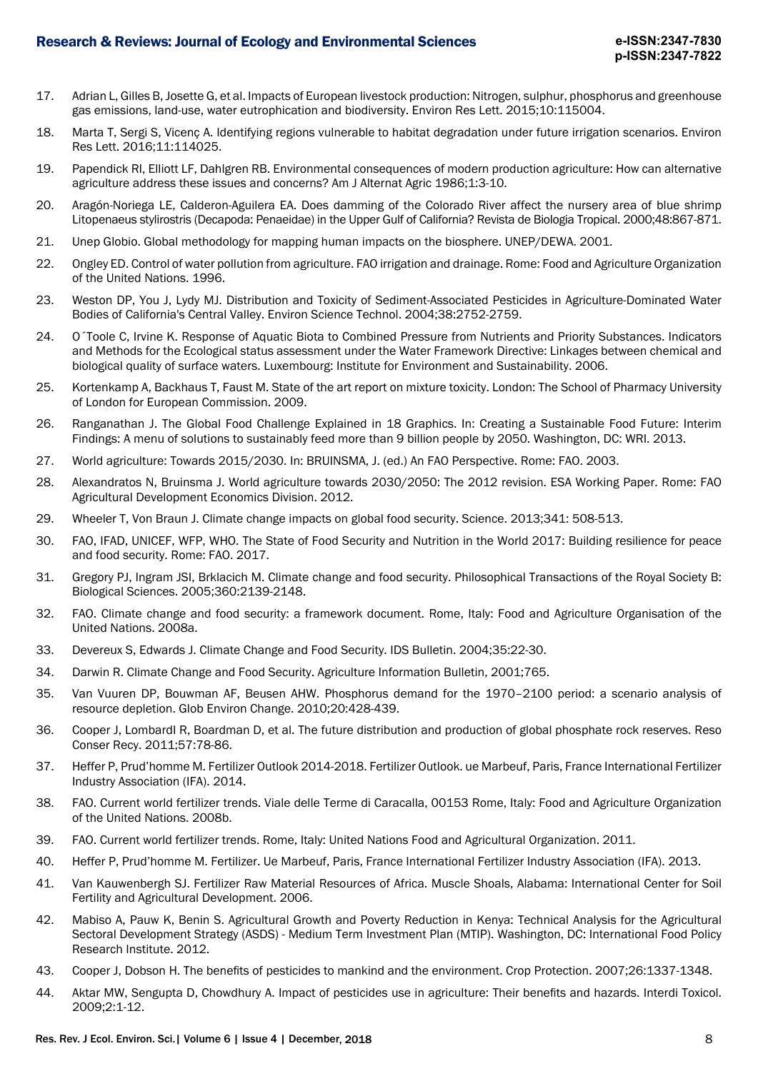- 17. Adrian L, Gilles B, Josette G, et al. Impacts of European livestock production: Nitrogen, sulphur, phosphorus and greenhouse gas emissions, land-use, water eutrophication and biodiversity. Environ Res Lett. 2015;10:115004.
- 18. Marta T, Sergi S, Vicenç A. Identifying regions vulnerable to habitat degradation under future irrigation scenarios. Environ Res Lett. 2016;11:114025.
- 19. Papendick RI, Elliott LF, Dahlgren RB. Environmental consequences of modern production agriculture: How can alternative agriculture address these issues and concerns? Am J Alternat Agric 1986;1:3-10.
- 20. Aragón-Noriega LE, Calderon-Aguilera EA. Does damming of the Colorado River affect the nursery area of blue shrimp Litopenaeus stylirostris (Decapoda: Penaeidae) in the Upper Gulf of California? Revista de Biologia Tropical. 2000;48:867-871.
- 21. Unep Globio. Global methodology for mapping human impacts on the biosphere. UNEP/DEWA. 2001.
- 22. Ongley ED. Control of water pollution from agriculture. FAO irrigation and drainage. Rome: Food and Agriculture Organization of the United Nations. 1996.
- 23. Weston DP, You J, Lydy MJ. Distribution and Toxicity of Sediment-Associated Pesticides in Agriculture-Dominated Water Bodies of California's Central Valley. Environ Science Technol. 2004;38:2752-2759.
- 24. O´Toole C, Irvine K. Response of Aquatic Biota to Combined Pressure from Nutrients and Priority Substances. Indicators and Methods for the Ecological status assessment under the Water Framework Directive: Linkages between chemical and biological quality of surface waters. Luxembourg: Institute for Environment and Sustainability. 2006.
- 25. Kortenkamp A, Backhaus T, Faust M. State of the art report on mixture toxicity. London: The School of Pharmacy University of London for European Commission. 2009.
- 26. Ranganathan J. The Global Food Challenge Explained in 18 Graphics. In: Creating a Sustainable Food Future: Interim Findings: A menu of solutions to sustainably feed more than 9 billion people by 2050. Washington, DC: WRI. 2013.
- 27. World agriculture: Towards 2015/2030. In: BRUINSMA, J. (ed.) An FAO Perspective. Rome: FAO. 2003.
- 28. Alexandratos N, Bruinsma J. World agriculture towards 2030/2050: The 2012 revision. ESA Working Paper. Rome: FAO Agricultural Development Economics Division. 2012.
- 29. Wheeler T, Von Braun J. Climate change impacts on global food security. Science. 2013;341: 508-513.
- 30. FAO, IFAD, UNICEF, WFP, WHO. The State of Food Security and Nutrition in the World 2017: Building resilience for peace and food security. Rome: FAO. 2017.
- 31. Gregory PJ, Ingram JSI, Brklacich M. Climate change and food security. Philosophical Transactions of the Royal Society B: Biological Sciences. 2005;360:2139-2148.
- 32. FAO. Climate change and food security: a framework document. Rome, Italy: Food and Agriculture Organisation of the United Nations. 2008a.
- 33. Devereux S, Edwards J. Climate Change and Food Security. IDS Bulletin. 2004;35:22-30.
- 34. Darwin R. Climate Change and Food Security. Agriculture Information Bulletin, 2001;765.
- 35. Van Vuuren DP, Bouwman AF, Beusen AHW. Phosphorus demand for the 1970–2100 period: a scenario analysis of resource depletion. Glob Environ Change. 2010;20:428-439.
- 36. Cooper J, LombardI R, Boardman D, et al. The future distribution and production of global phosphate rock reserves. Reso Conser Recy. 2011;57:78-86.
- 37. Heffer P, Prud'homme M. Fertilizer Outlook 2014-2018. Fertilizer Outlook. ue Marbeuf, Paris, France International Fertilizer Industry Association (IFA). 2014.
- 38. FAO. Current world fertilizer trends. Viale delle Terme di Caracalla, 00153 Rome, Italy: Food and Agriculture Organization of the United Nations. 2008b.
- 39. FAO. Current world fertilizer trends. Rome, Italy: United Nations Food and Agricultural Organization. 2011.
- 40. Heffer P, Prud'homme M. Fertilizer. Ue Marbeuf, Paris, France International Fertilizer Industry Association (IFA). 2013.
- 41. Van Kauwenbergh SJ. Fertilizer Raw Material Resources of Africa. Muscle Shoals, Alabama: International Center for Soil Fertility and Agricultural Development. 2006.
- 42. Mabiso A, Pauw K, Benin S. Agricultural Growth and Poverty Reduction in Kenya: Technical Analysis for the Agricultural Sectoral Development Strategy (ASDS) - Medium Term Investment Plan (MTIP). Washington, DC: International Food Policy Research Institute. 2012.
- 43. Cooper J, Dobson H. The benefits of pesticides to mankind and the environment. Crop Protection. 2007;26:1337-1348.
- 44. Aktar MW, Sengupta D, Chowdhury A. Impact of pesticides use in agriculture: Their benefits and hazards. Interdi Toxicol. 2009;2:1-12.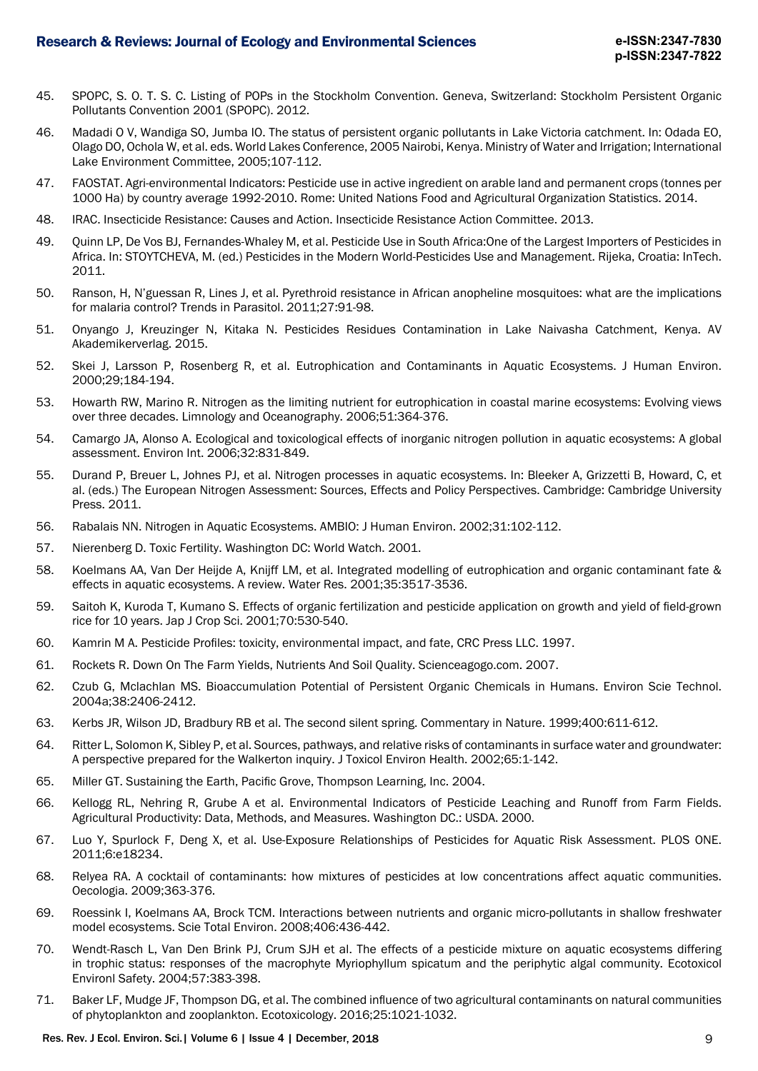- 45. SPOPC, S. O. T. S. C. Listing of POPs in the Stockholm Convention. Geneva, Switzerland: Stockholm Persistent Organic Pollutants Convention 2001 (SPOPC). 2012.
- 46. Madadi O V, Wandiga SO, Jumba IO. The status of persistent organic pollutants in Lake Victoria catchment. In: Odada EO, Olago DO, Ochola W, et al. eds. World Lakes Conference, 2005 Nairobi, Kenya. Ministry of Water and Irrigation; International Lake Environment Committee, 2005;107-112.
- 47. FAOSTAT. Agri-environmental Indicators: Pesticide use in active ingredient on arable land and permanent crops (tonnes per 1000 Ha) by country average 1992-2010. Rome: United Nations Food and Agricultural Organization Statistics. 2014.
- 48. IRAC. Insecticide Resistance: Causes and Action. Insecticide Resistance Action Committee. 2013.
- 49. Quinn LP, De Vos BJ, Fernandes-Whaley M, et al. Pesticide Use in South Africa:One of the Largest Importers of Pesticides in Africa. In: STOYTCHEVA, M. (ed.) Pesticides in the Modern World-Pesticides Use and Management. Rijeka, Croatia: InTech. 2011.
- 50. Ranson, H, N'guessan R, Lines J, et al. Pyrethroid resistance in African anopheline mosquitoes: what are the implications for malaria control? Trends in Parasitol. 2011;27:91-98.
- 51. Onyango J, Kreuzinger N, Kitaka N. Pesticides Residues Contamination in Lake Naivasha Catchment, Kenya. AV Akademikerverlag. 2015.
- 52. Skei J, Larsson P, Rosenberg R, et al. Eutrophication and Contaminants in Aquatic Ecosystems. J Human Environ. 2000;29;184-194.
- 53. Howarth RW, Marino R. Nitrogen as the limiting nutrient for eutrophication in coastal marine ecosystems: Evolving views over three decades. Limnology and Oceanography. 2006;51:364-376.
- 54. Camargo JA, Alonso A. Ecological and toxicological effects of inorganic nitrogen pollution in aquatic ecosystems: A global assessment. Environ Int. 2006;32:831-849.
- 55. Durand P, Breuer L, Johnes PJ, et al. Nitrogen processes in aquatic ecosystems. In: Bleeker A, Grizzetti B, Howard, C, et al. (eds.) The European Nitrogen Assessment: Sources, Effects and Policy Perspectives. Cambridge: Cambridge University Press. 2011.
- 56. Rabalais NN. Nitrogen in Aquatic Ecosystems. AMBIO: J Human Environ. 2002;31:102-112.
- 57. Nierenberg D. Toxic Fertility. Washington DC: World Watch. 2001.
- 58. Koelmans AA, Van Der Heijde A, Knijff LM, et al. Integrated modelling of eutrophication and organic contaminant fate & effects in aquatic ecosystems. A review. Water Res. 2001;35:3517-3536.
- 59. Saitoh K, Kuroda T, Kumano S. Effects of organic fertilization and pesticide application on growth and yield of field-grown rice for 10 years. Jap J Crop Sci. 2001;70:530-540.
- 60. Kamrin M A. Pesticide Profiles: toxicity, environmental impact, and fate, CRC Press LLC. 1997.
- 61. Rockets R. Down On The Farm Yields, Nutrients And Soil Quality. Scienceagogo.com. 2007.
- 62. Czub G, Mclachlan MS. Bioaccumulation Potential of Persistent Organic Chemicals in Humans. Environ Scie Technol. 2004a;38:2406-2412.
- 63. Kerbs JR, Wilson JD, Bradbury RB et al. The second silent spring. Commentary in Nature. 1999;400:611-612.
- 64. Ritter L, Solomon K, Sibley P, et al. Sources, pathways, and relative risks of contaminants in surface water and groundwater: A perspective prepared for the Walkerton inquiry. J Toxicol Environ Health. 2002;65:1-142.
- 65. Miller GT. Sustaining the Earth, Pacific Grove, Thompson Learning, Inc. 2004.
- 66. Kellogg RL, Nehring R, Grube A et al. Environmental Indicators of Pesticide Leaching and Runoff from Farm Fields. Agricultural Productivity: Data, Methods, and Measures. Washington DC.: USDA. 2000.
- 67. Luo Y, Spurlock F, Deng X, et al. Use-Exposure Relationships of Pesticides for Aquatic Risk Assessment. PLOS ONE. 2011;6:e18234.
- 68. Relyea RA. A cocktail of contaminants: how mixtures of pesticides at low concentrations affect aquatic communities. Oecologia. 2009;363-376.
- 69. Roessink I, Koelmans AA, Brock TCM. Interactions between nutrients and organic micro-pollutants in shallow freshwater model ecosystems. Scie Total Environ. 2008;406:436-442.
- 70. Wendt-Rasch L, Van Den Brink PJ, Crum SJH et al. The effects of a pesticide mixture on aquatic ecosystems differing in trophic status: responses of the macrophyte Myriophyllum spicatum and the periphytic algal community. Ecotoxicol Environl Safety. 2004;57:383-398.
- 71. Baker LF, Mudge JF, Thompson DG, et al. The combined influence of two agricultural contaminants on natural communities of phytoplankton and zooplankton. Ecotoxicology. 2016;25:1021-1032.